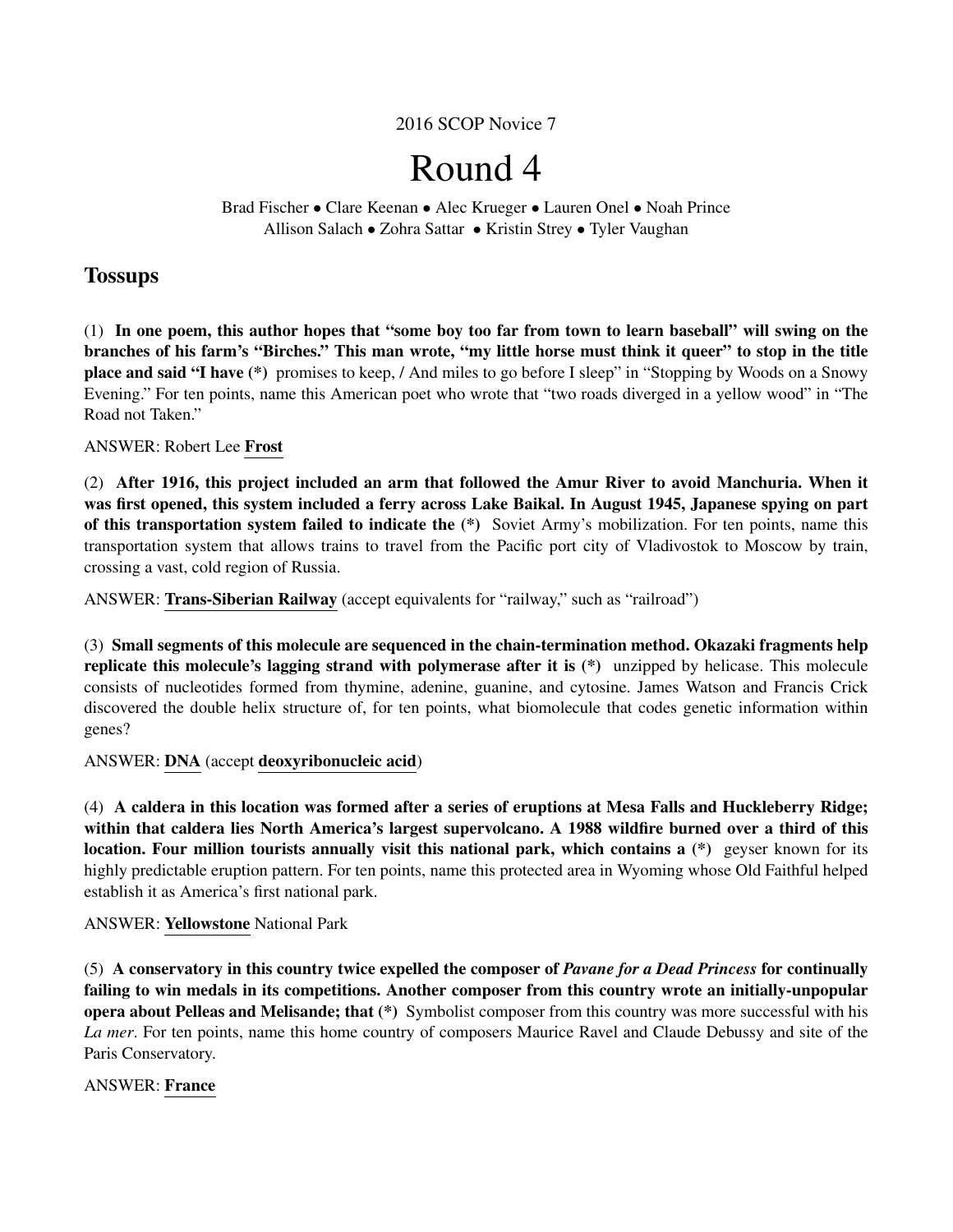2016 SCOP Novice 7

# Round 4

Brad Fischer • Clare Keenan • Alec Krueger • Lauren Onel • Noah Prince Allison Salach • Zohra Sattar • Kristin Strey • Tyler Vaughan

# **Tossups**

(1) In one poem, this author hopes that "some boy too far from town to learn baseball" will swing on the branches of his farm's "Birches." This man wrote, "my little horse must think it queer" to stop in the title place and said "I have (\*) promises to keep, / And miles to go before I sleep" in "Stopping by Woods on a Snowy Evening." For ten points, name this American poet who wrote that "two roads diverged in a yellow wood" in "The Road not Taken."

# ANSWER: Robert Lee Frost

(2) After 1916, this project included an arm that followed the Amur River to avoid Manchuria. When it was first opened, this system included a ferry across Lake Baikal. In August 1945, Japanese spying on part of this transportation system failed to indicate the (\*) Soviet Army's mobilization. For ten points, name this transportation system that allows trains to travel from the Pacific port city of Vladivostok to Moscow by train, crossing a vast, cold region of Russia.

ANSWER: Trans-Siberian Railway (accept equivalents for "railway," such as "railroad")

(3) Small segments of this molecule are sequenced in the chain-termination method. Okazaki fragments help replicate this molecule's lagging strand with polymerase after it is (\*) unzipped by helicase. This molecule consists of nucleotides formed from thymine, adenine, guanine, and cytosine. James Watson and Francis Crick discovered the double helix structure of, for ten points, what biomolecule that codes genetic information within genes?

ANSWER: DNA (accept deoxyribonucleic acid)

(4) A caldera in this location was formed after a series of eruptions at Mesa Falls and Huckleberry Ridge; within that caldera lies North America's largest supervolcano. A 1988 wildfire burned over a third of this location. Four million tourists annually visit this national park, which contains a (\*) geyser known for its highly predictable eruption pattern. For ten points, name this protected area in Wyoming whose Old Faithful helped establish it as America's first national park.

# ANSWER: Yellowstone National Park

(5) A conservatory in this country twice expelled the composer of *Pavane for a Dead Princess* for continually failing to win medals in its competitions. Another composer from this country wrote an initially-unpopular opera about Pelleas and Melisande; that (\*) Symbolist composer from this country was more successful with his *La mer*. For ten points, name this home country of composers Maurice Ravel and Claude Debussy and site of the Paris Conservatory.

# ANSWER: France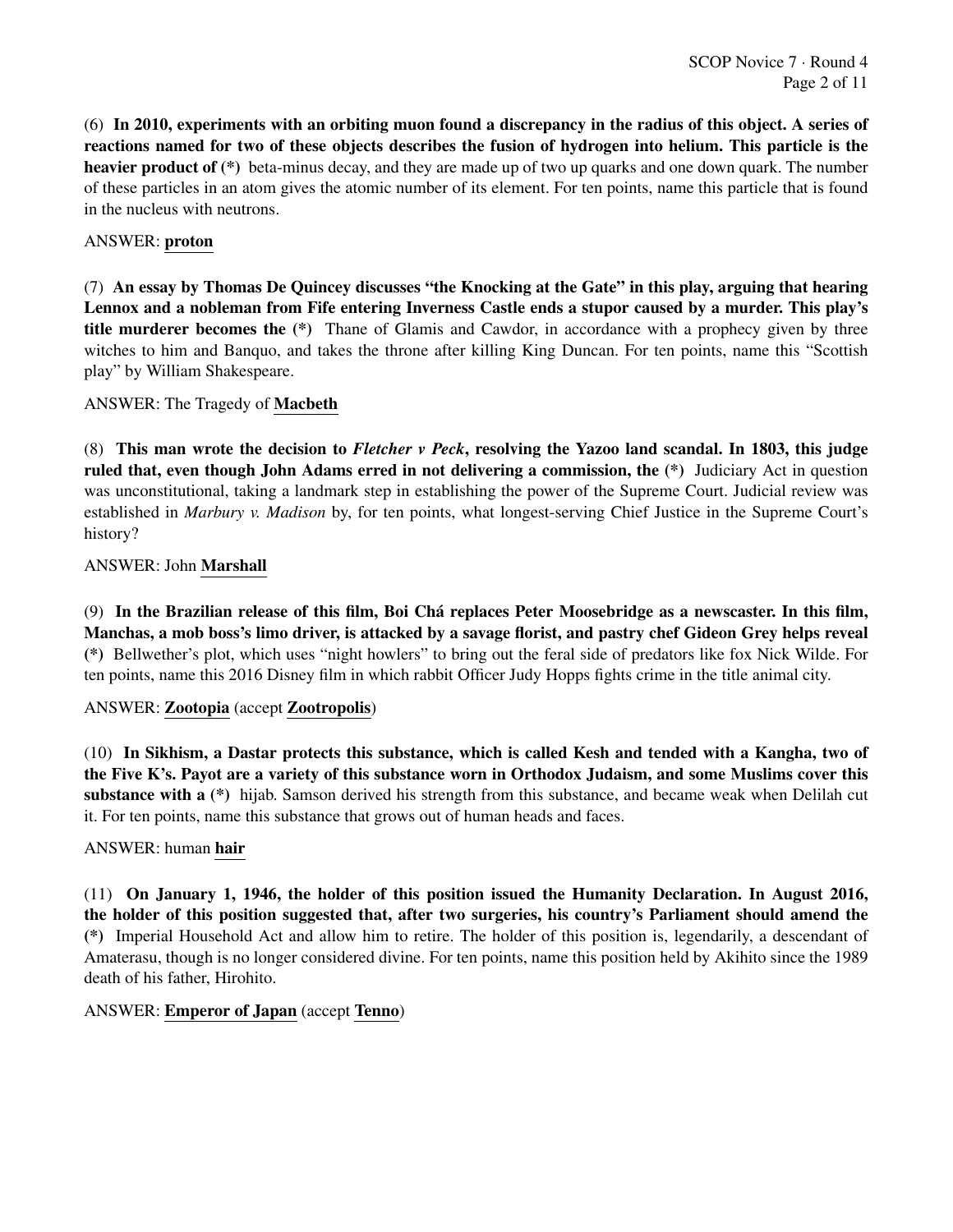(6) In 2010, experiments with an orbiting muon found a discrepancy in the radius of this object. A series of reactions named for two of these objects describes the fusion of hydrogen into helium. This particle is the heavier product of (\*) beta-minus decay, and they are made up of two up quarks and one down quark. The number of these particles in an atom gives the atomic number of its element. For ten points, name this particle that is found in the nucleus with neutrons.

#### ANSWER: proton

(7) An essay by Thomas De Quincey discusses "the Knocking at the Gate" in this play, arguing that hearing Lennox and a nobleman from Fife entering Inverness Castle ends a stupor caused by a murder. This play's title murderer becomes the (\*) Thane of Glamis and Cawdor, in accordance with a prophecy given by three witches to him and Banquo, and takes the throne after killing King Duncan. For ten points, name this "Scottish play" by William Shakespeare.

# ANSWER: The Tragedy of Macbeth

(8) This man wrote the decision to *Fletcher v Peck*, resolving the Yazoo land scandal. In 1803, this judge ruled that, even though John Adams erred in not delivering a commission, the (\*) Judiciary Act in question was unconstitutional, taking a landmark step in establishing the power of the Supreme Court. Judicial review was established in *Marbury v. Madison* by, for ten points, what longest-serving Chief Justice in the Supreme Court's history?

# ANSWER: John Marshall

(9) In the Brazilian release of this film, Boi Cha replaces Peter Moosebridge as a newscaster. In this film, ´ Manchas, a mob boss's limo driver, is attacked by a savage florist, and pastry chef Gideon Grey helps reveal (\*) Bellwether's plot, which uses "night howlers" to bring out the feral side of predators like fox Nick Wilde. For ten points, name this 2016 Disney film in which rabbit Officer Judy Hopps fights crime in the title animal city.

#### ANSWER: Zootopia (accept Zootropolis)

(10) In Sikhism, a Dastar protects this substance, which is called Kesh and tended with a Kangha, two of the Five K's. Payot are a variety of this substance worn in Orthodox Judaism, and some Muslims cover this substance with a (\*) hijab. Samson derived his strength from this substance, and became weak when Delilah cut it. For ten points, name this substance that grows out of human heads and faces.

#### ANSWER: human hair

(11) On January 1, 1946, the holder of this position issued the Humanity Declaration. In August 2016, the holder of this position suggested that, after two surgeries, his country's Parliament should amend the (\*) Imperial Household Act and allow him to retire. The holder of this position is, legendarily, a descendant of Amaterasu, though is no longer considered divine. For ten points, name this position held by Akihito since the 1989 death of his father, Hirohito.

#### ANSWER: Emperor of Japan (accept Tenno)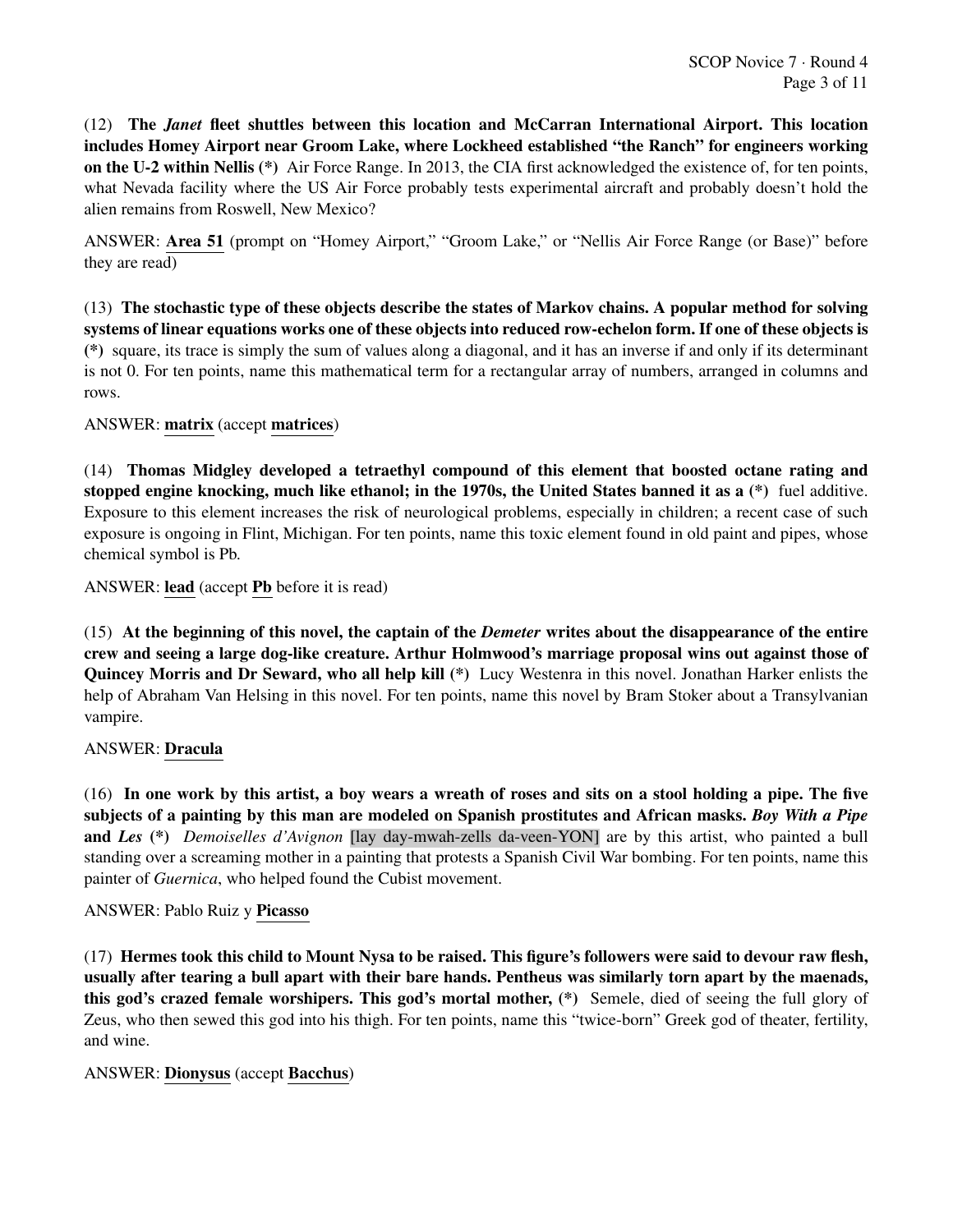(12) The *Janet* fleet shuttles between this location and McCarran International Airport. This location includes Homey Airport near Groom Lake, where Lockheed established "the Ranch" for engineers working on the U-2 within Nellis (\*) Air Force Range. In 2013, the CIA first acknowledged the existence of, for ten points, what Nevada facility where the US Air Force probably tests experimental aircraft and probably doesn't hold the alien remains from Roswell, New Mexico?

ANSWER: Area 51 (prompt on "Homey Airport," "Groom Lake," or "Nellis Air Force Range (or Base)" before they are read)

(13) The stochastic type of these objects describe the states of Markov chains. A popular method for solving systems of linear equations works one of these objects into reduced row-echelon form. If one of these objects is (\*) square, its trace is simply the sum of values along a diagonal, and it has an inverse if and only if its determinant is not 0. For ten points, name this mathematical term for a rectangular array of numbers, arranged in columns and rows.

ANSWER: matrix (accept matrices)

(14) Thomas Midgley developed a tetraethyl compound of this element that boosted octane rating and stopped engine knocking, much like ethanol; in the 1970s, the United States banned it as a (\*) fuel additive. Exposure to this element increases the risk of neurological problems, especially in children; a recent case of such exposure is ongoing in Flint, Michigan. For ten points, name this toxic element found in old paint and pipes, whose chemical symbol is Pb.

ANSWER: lead (accept Pb before it is read)

(15) At the beginning of this novel, the captain of the *Demeter* writes about the disappearance of the entire crew and seeing a large dog-like creature. Arthur Holmwood's marriage proposal wins out against those of Quincey Morris and Dr Seward, who all help kill (\*) Lucy Westenra in this novel. Jonathan Harker enlists the help of Abraham Van Helsing in this novel. For ten points, name this novel by Bram Stoker about a Transylvanian vampire.

# ANSWER: Dracula

(16) In one work by this artist, a boy wears a wreath of roses and sits on a stool holding a pipe. The five subjects of a painting by this man are modeled on Spanish prostitutes and African masks. *Boy With a Pipe* and *Les* (\*) *Demoiselles d'Avignon* [lay day-mwah-zells da-veen-YON] are by this artist, who painted a bull standing over a screaming mother in a painting that protests a Spanish Civil War bombing. For ten points, name this painter of *Guernica*, who helped found the Cubist movement.

#### ANSWER: Pablo Ruiz y Picasso

(17) Hermes took this child to Mount Nysa to be raised. This figure's followers were said to devour raw flesh, usually after tearing a bull apart with their bare hands. Pentheus was similarly torn apart by the maenads, this god's crazed female worshipers. This god's mortal mother, (\*) Semele, died of seeing the full glory of Zeus, who then sewed this god into his thigh. For ten points, name this "twice-born" Greek god of theater, fertility, and wine.

#### ANSWER: Dionysus (accept Bacchus)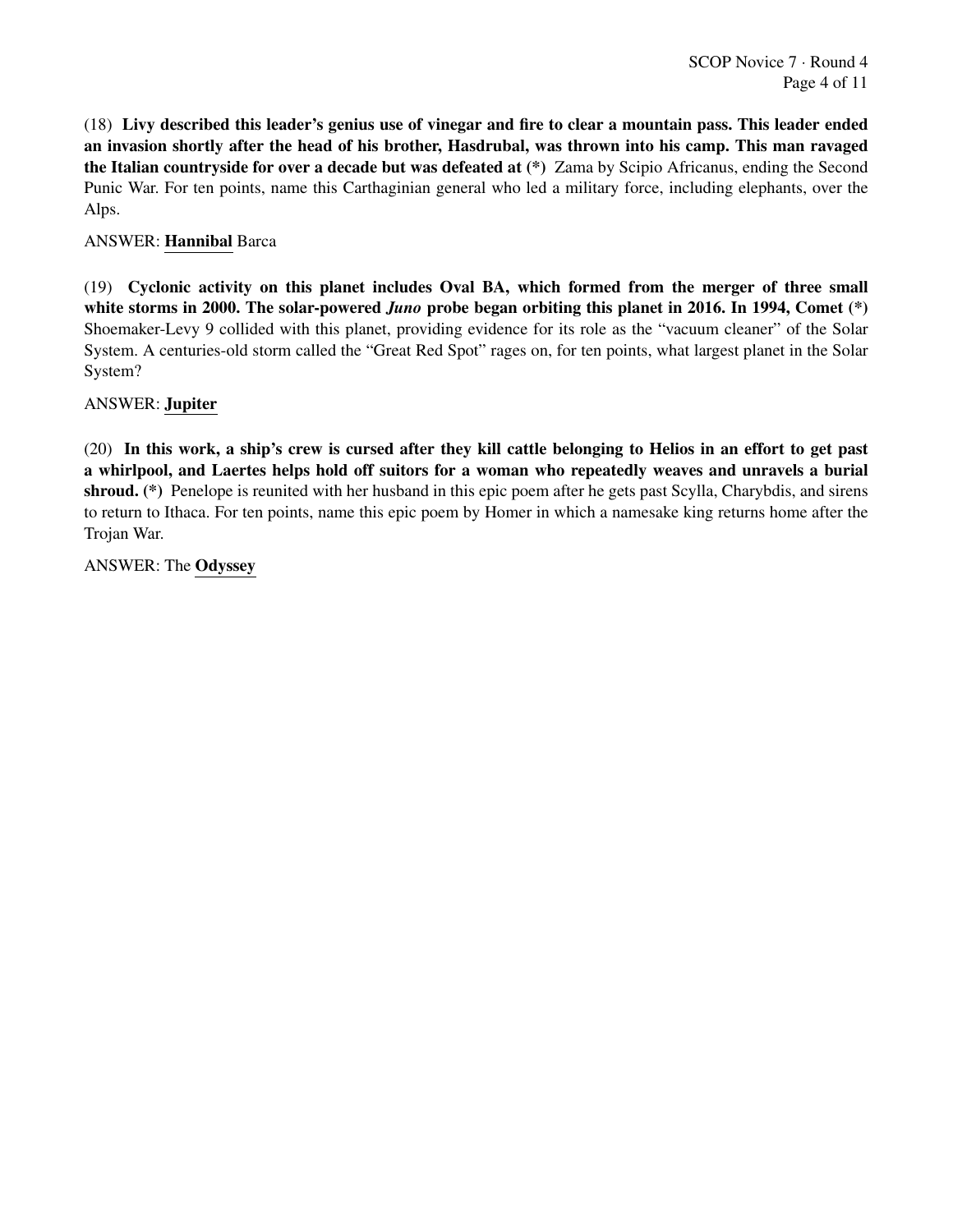(18) Livy described this leader's genius use of vinegar and fire to clear a mountain pass. This leader ended an invasion shortly after the head of his brother, Hasdrubal, was thrown into his camp. This man ravaged the Italian countryside for over a decade but was defeated at (\*) Zama by Scipio Africanus, ending the Second Punic War. For ten points, name this Carthaginian general who led a military force, including elephants, over the Alps.

# ANSWER: Hannibal Barca

(19) Cyclonic activity on this planet includes Oval BA, which formed from the merger of three small white storms in 2000. The solar-powered *Juno* probe began orbiting this planet in 2016. In 1994, Comet (\*) Shoemaker-Levy 9 collided with this planet, providing evidence for its role as the "vacuum cleaner" of the Solar System. A centuries-old storm called the "Great Red Spot" rages on, for ten points, what largest planet in the Solar System?

#### ANSWER: Jupiter

(20) In this work, a ship's crew is cursed after they kill cattle belonging to Helios in an effort to get past a whirlpool, and Laertes helps hold off suitors for a woman who repeatedly weaves and unravels a burial shroud. (\*) Penelope is reunited with her husband in this epic poem after he gets past Scylla, Charybdis, and sirens to return to Ithaca. For ten points, name this epic poem by Homer in which a namesake king returns home after the Trojan War.

ANSWER: The Odyssey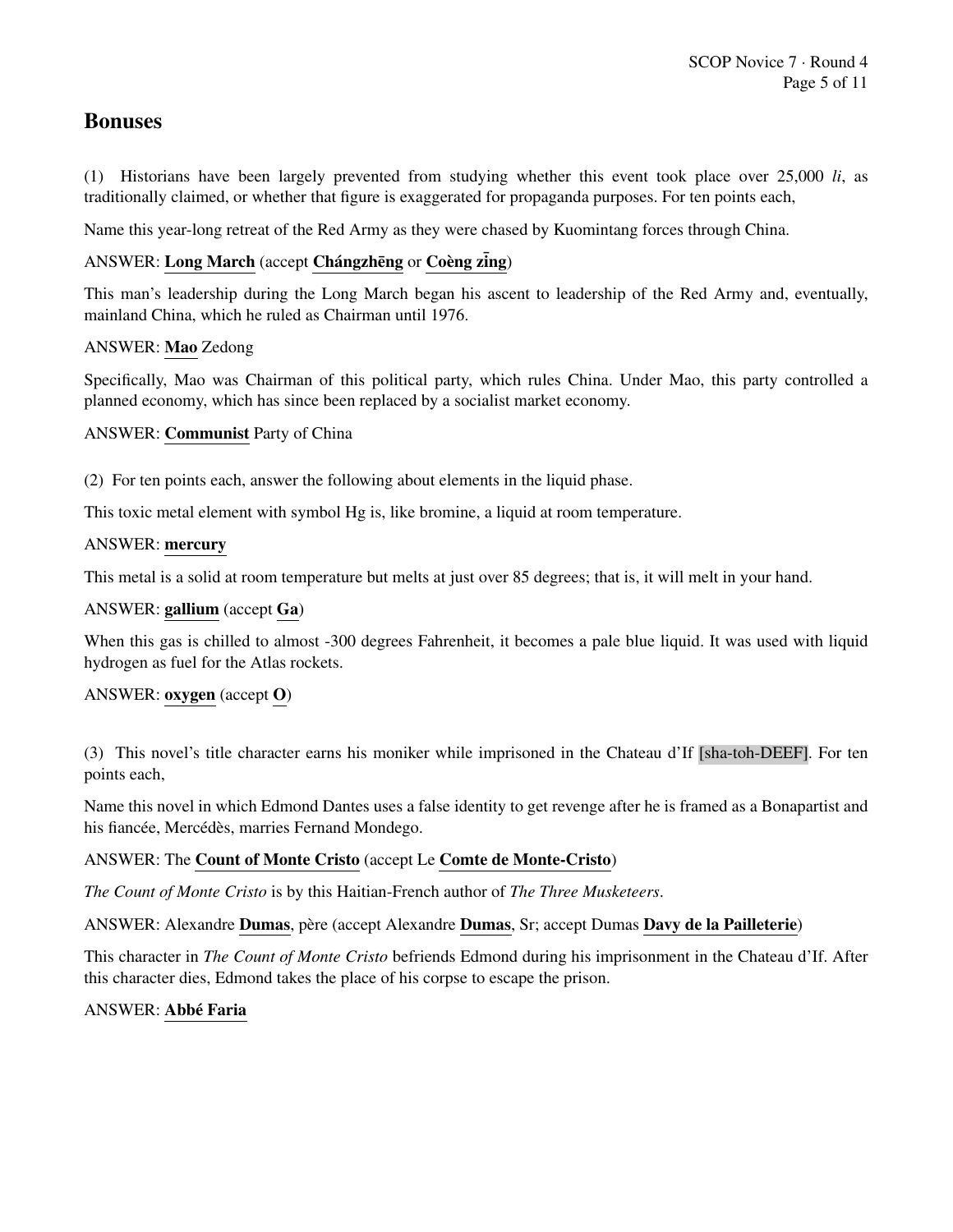# Bonuses

(1) Historians have been largely prevented from studying whether this event took place over 25,000 *li*, as traditionally claimed, or whether that figure is exaggerated for propaganda purposes. For ten points each,

Name this year-long retreat of the Red Army as they were chased by Kuomintang forces through China.

# ANSWER: Long March (accept Chángzhēng or Coèng zing)

This man's leadership during the Long March began his ascent to leadership of the Red Army and, eventually, mainland China, which he ruled as Chairman until 1976.

# ANSWER: Mao Zedong

Specifically, Mao was Chairman of this political party, which rules China. Under Mao, this party controlled a planned economy, which has since been replaced by a socialist market economy.

# ANSWER: Communist Party of China

(2) For ten points each, answer the following about elements in the liquid phase.

This toxic metal element with symbol Hg is, like bromine, a liquid at room temperature.

#### ANSWER: mercury

This metal is a solid at room temperature but melts at just over 85 degrees; that is, it will melt in your hand.

# ANSWER: gallium (accept Ga)

When this gas is chilled to almost -300 degrees Fahrenheit, it becomes a pale blue liquid. It was used with liquid hydrogen as fuel for the Atlas rockets.

# ANSWER: oxygen (accept O)

(3) This novel's title character earns his moniker while imprisoned in the Chateau d'If [sha-toh-DEEF]. For ten points each,

Name this novel in which Edmond Dantes uses a false identity to get revenge after he is framed as a Bonapartist and his fiancée, Mercédès, marries Fernand Mondego.

#### ANSWER: The Count of Monte Cristo (accept Le Comte de Monte-Cristo)

*The Count of Monte Cristo* is by this Haitian-French author of *The Three Musketeers*.

ANSWER: Alexandre Dumas, père (accept Alexandre Dumas, Sr; accept Dumas Davy de la Pailleterie)

This character in *The Count of Monte Cristo* befriends Edmond during his imprisonment in the Chateau d'If. After this character dies, Edmond takes the place of his corpse to escape the prison.

#### ANSWER: Abbé Faria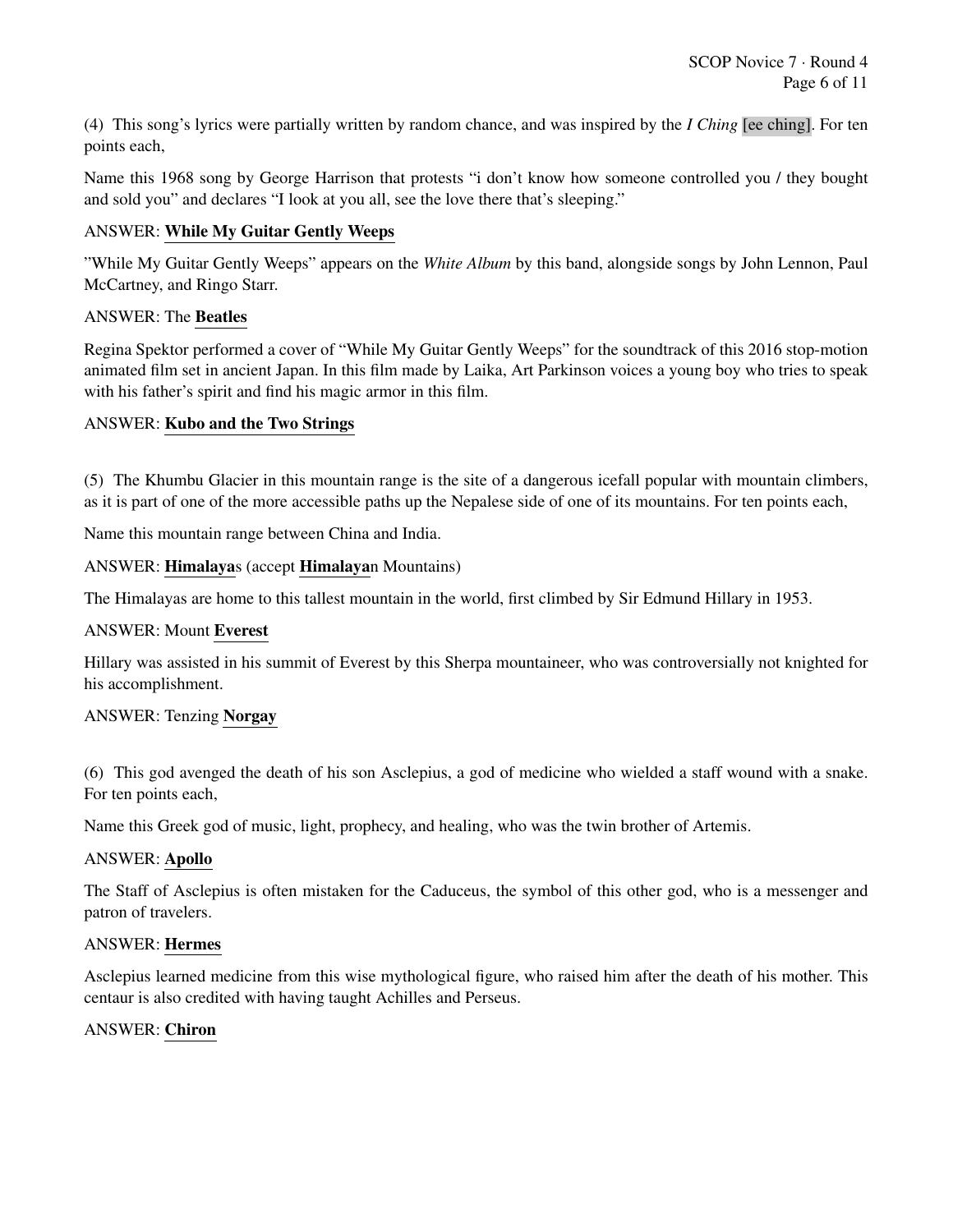(4) This song's lyrics were partially written by random chance, and was inspired by the *I Ching* [ee ching]. For ten points each,

Name this 1968 song by George Harrison that protests "i don't know how someone controlled you / they bought and sold you" and declares "I look at you all, see the love there that's sleeping."

# ANSWER: While My Guitar Gently Weeps

"While My Guitar Gently Weeps" appears on the *White Album* by this band, alongside songs by John Lennon, Paul McCartney, and Ringo Starr.

#### ANSWER: The Beatles

Regina Spektor performed a cover of "While My Guitar Gently Weeps" for the soundtrack of this 2016 stop-motion animated film set in ancient Japan. In this film made by Laika, Art Parkinson voices a young boy who tries to speak with his father's spirit and find his magic armor in this film.

# ANSWER: Kubo and the Two Strings

(5) The Khumbu Glacier in this mountain range is the site of a dangerous icefall popular with mountain climbers, as it is part of one of the more accessible paths up the Nepalese side of one of its mountains. For ten points each,

Name this mountain range between China and India.

#### ANSWER: Himalayas (accept Himalayan Mountains)

The Himalayas are home to this tallest mountain in the world, first climbed by Sir Edmund Hillary in 1953.

#### ANSWER: Mount Everest

Hillary was assisted in his summit of Everest by this Sherpa mountaineer, who was controversially not knighted for his accomplishment.

#### ANSWER: Tenzing Norgay

(6) This god avenged the death of his son Asclepius, a god of medicine who wielded a staff wound with a snake. For ten points each,

Name this Greek god of music, light, prophecy, and healing, who was the twin brother of Artemis.

#### ANSWER: Apollo

The Staff of Asclepius is often mistaken for the Caduceus, the symbol of this other god, who is a messenger and patron of travelers.

#### ANSWER: Hermes

Asclepius learned medicine from this wise mythological figure, who raised him after the death of his mother. This centaur is also credited with having taught Achilles and Perseus.

#### ANSWER: Chiron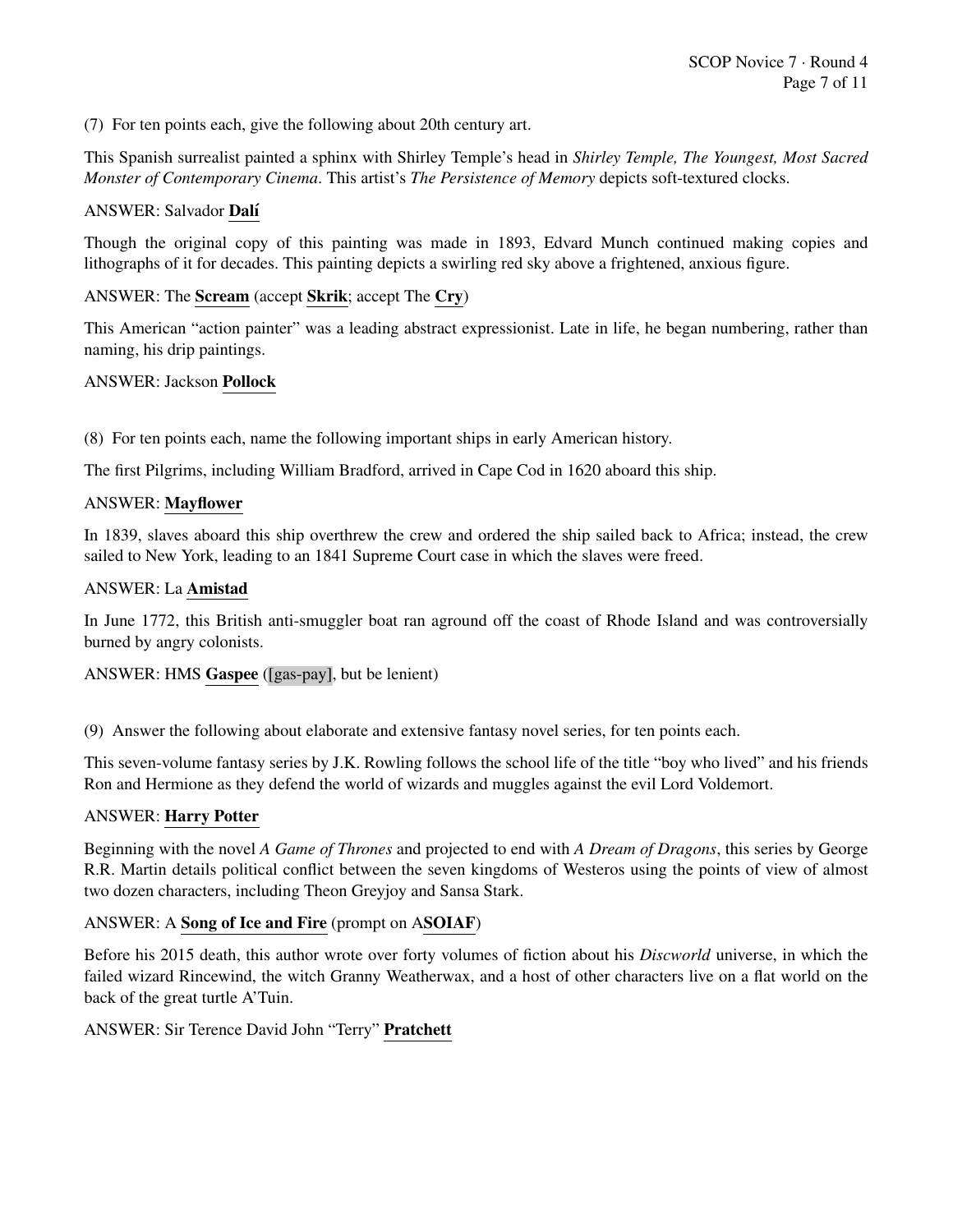(7) For ten points each, give the following about 20th century art.

This Spanish surrealist painted a sphinx with Shirley Temple's head in *Shirley Temple, The Youngest, Most Sacred Monster of Contemporary Cinema*. This artist's *The Persistence of Memory* depicts soft-textured clocks.

# ANSWER: Salvador Dalí

Though the original copy of this painting was made in 1893, Edvard Munch continued making copies and lithographs of it for decades. This painting depicts a swirling red sky above a frightened, anxious figure.

# ANSWER: The Scream (accept Skrik; accept The Cry)

This American "action painter" was a leading abstract expressionist. Late in life, he began numbering, rather than naming, his drip paintings.

#### ANSWER: Jackson Pollock

(8) For ten points each, name the following important ships in early American history.

The first Pilgrims, including William Bradford, arrived in Cape Cod in 1620 aboard this ship.

#### ANSWER: Mayflower

In 1839, slaves aboard this ship overthrew the crew and ordered the ship sailed back to Africa; instead, the crew sailed to New York, leading to an 1841 Supreme Court case in which the slaves were freed.

#### ANSWER: La Amistad

In June 1772, this British anti-smuggler boat ran aground off the coast of Rhode Island and was controversially burned by angry colonists.

#### ANSWER: HMS Gaspee ([gas-pay], but be lenient)

(9) Answer the following about elaborate and extensive fantasy novel series, for ten points each.

This seven-volume fantasy series by J.K. Rowling follows the school life of the title "boy who lived" and his friends Ron and Hermione as they defend the world of wizards and muggles against the evil Lord Voldemort.

#### ANSWER: Harry Potter

Beginning with the novel *A Game of Thrones* and projected to end with *A Dream of Dragons*, this series by George R.R. Martin details political conflict between the seven kingdoms of Westeros using the points of view of almost two dozen characters, including Theon Greyjoy and Sansa Stark.

#### ANSWER: A Song of Ice and Fire (prompt on ASOIAF)

Before his 2015 death, this author wrote over forty volumes of fiction about his *Discworld* universe, in which the failed wizard Rincewind, the witch Granny Weatherwax, and a host of other characters live on a flat world on the back of the great turtle A'Tuin.

ANSWER: Sir Terence David John "Terry" Pratchett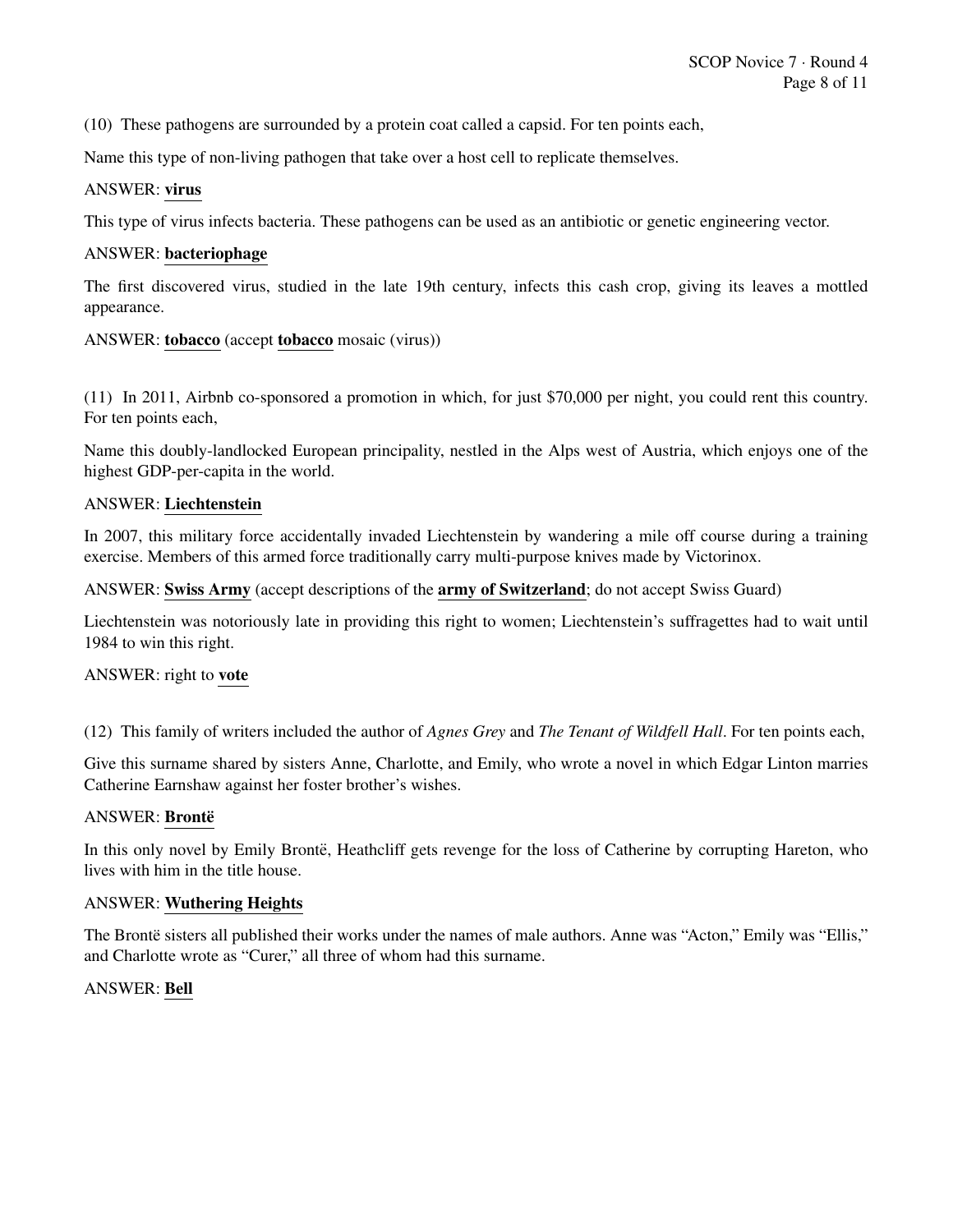(10) These pathogens are surrounded by a protein coat called a capsid. For ten points each,

Name this type of non-living pathogen that take over a host cell to replicate themselves.

#### ANSWER: virus

This type of virus infects bacteria. These pathogens can be used as an antibiotic or genetic engineering vector.

#### ANSWER: bacteriophage

The first discovered virus, studied in the late 19th century, infects this cash crop, giving its leaves a mottled appearance.

ANSWER: tobacco (accept tobacco mosaic (virus))

(11) In 2011, Airbnb co-sponsored a promotion in which, for just \$70,000 per night, you could rent this country. For ten points each,

Name this doubly-landlocked European principality, nestled in the Alps west of Austria, which enjoys one of the highest GDP-per-capita in the world.

#### ANSWER: Liechtenstein

In 2007, this military force accidentally invaded Liechtenstein by wandering a mile off course during a training exercise. Members of this armed force traditionally carry multi-purpose knives made by Victorinox.

ANSWER: Swiss Army (accept descriptions of the army of Switzerland; do not accept Swiss Guard)

Liechtenstein was notoriously late in providing this right to women; Liechtenstein's suffragettes had to wait until 1984 to win this right.

#### ANSWER: right to vote

(12) This family of writers included the author of *Agnes Grey* and *The Tenant of Wildfell Hall*. For ten points each,

Give this surname shared by sisters Anne, Charlotte, and Emily, who wrote a novel in which Edgar Linton marries Catherine Earnshaw against her foster brother's wishes.

#### ANSWER: Brontë

In this only novel by Emily Bronte, Heathcliff gets revenge for the loss of Catherine by corrupting Hareton, who lives with him in the title house.

#### ANSWER: Wuthering Heights

The Bronte sisters all published their works under the names of male authors. Anne was "Acton," Emily was "Ellis," and Charlotte wrote as "Curer," all three of whom had this surname.

#### ANSWER: Bell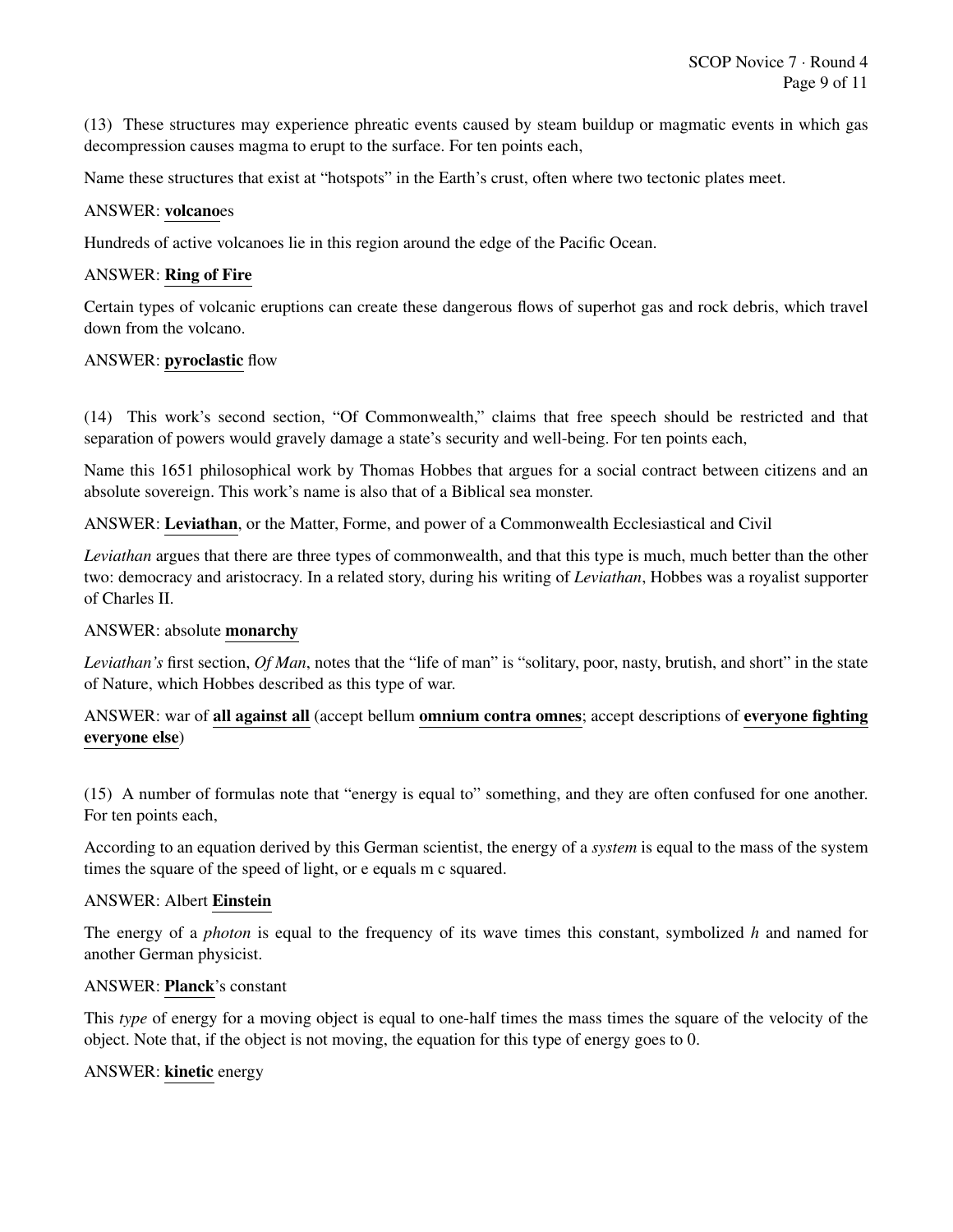(13) These structures may experience phreatic events caused by steam buildup or magmatic events in which gas decompression causes magma to erupt to the surface. For ten points each,

Name these structures that exist at "hotspots" in the Earth's crust, often where two tectonic plates meet.

#### ANSWER: volcanoes

Hundreds of active volcanoes lie in this region around the edge of the Pacific Ocean.

#### ANSWER: Ring of Fire

Certain types of volcanic eruptions can create these dangerous flows of superhot gas and rock debris, which travel down from the volcano.

#### ANSWER: pyroclastic flow

(14) This work's second section, "Of Commonwealth," claims that free speech should be restricted and that separation of powers would gravely damage a state's security and well-being. For ten points each,

Name this 1651 philosophical work by Thomas Hobbes that argues for a social contract between citizens and an absolute sovereign. This work's name is also that of a Biblical sea monster.

ANSWER: Leviathan, or the Matter, Forme, and power of a Commonwealth Ecclesiastical and Civil

*Leviathan* argues that there are three types of commonwealth, and that this type is much, much better than the other two: democracy and aristocracy. In a related story, during his writing of *Leviathan*, Hobbes was a royalist supporter of Charles II.

#### ANSWER: absolute monarchy

*Leviathan's* first section, *Of Man*, notes that the "life of man" is "solitary, poor, nasty, brutish, and short" in the state of Nature, which Hobbes described as this type of war.

# ANSWER: war of all against all (accept bellum omnium contra omnes; accept descriptions of everyone fighting everyone else)

(15) A number of formulas note that "energy is equal to" something, and they are often confused for one another. For ten points each,

According to an equation derived by this German scientist, the energy of a *system* is equal to the mass of the system times the square of the speed of light, or e equals m c squared.

#### ANSWER: Albert Einstein

The energy of a *photon* is equal to the frequency of its wave times this constant, symbolized *h* and named for another German physicist.

#### ANSWER: Planck's constant

This *type* of energy for a moving object is equal to one-half times the mass times the square of the velocity of the object. Note that, if the object is not moving, the equation for this type of energy goes to 0.

#### ANSWER: kinetic energy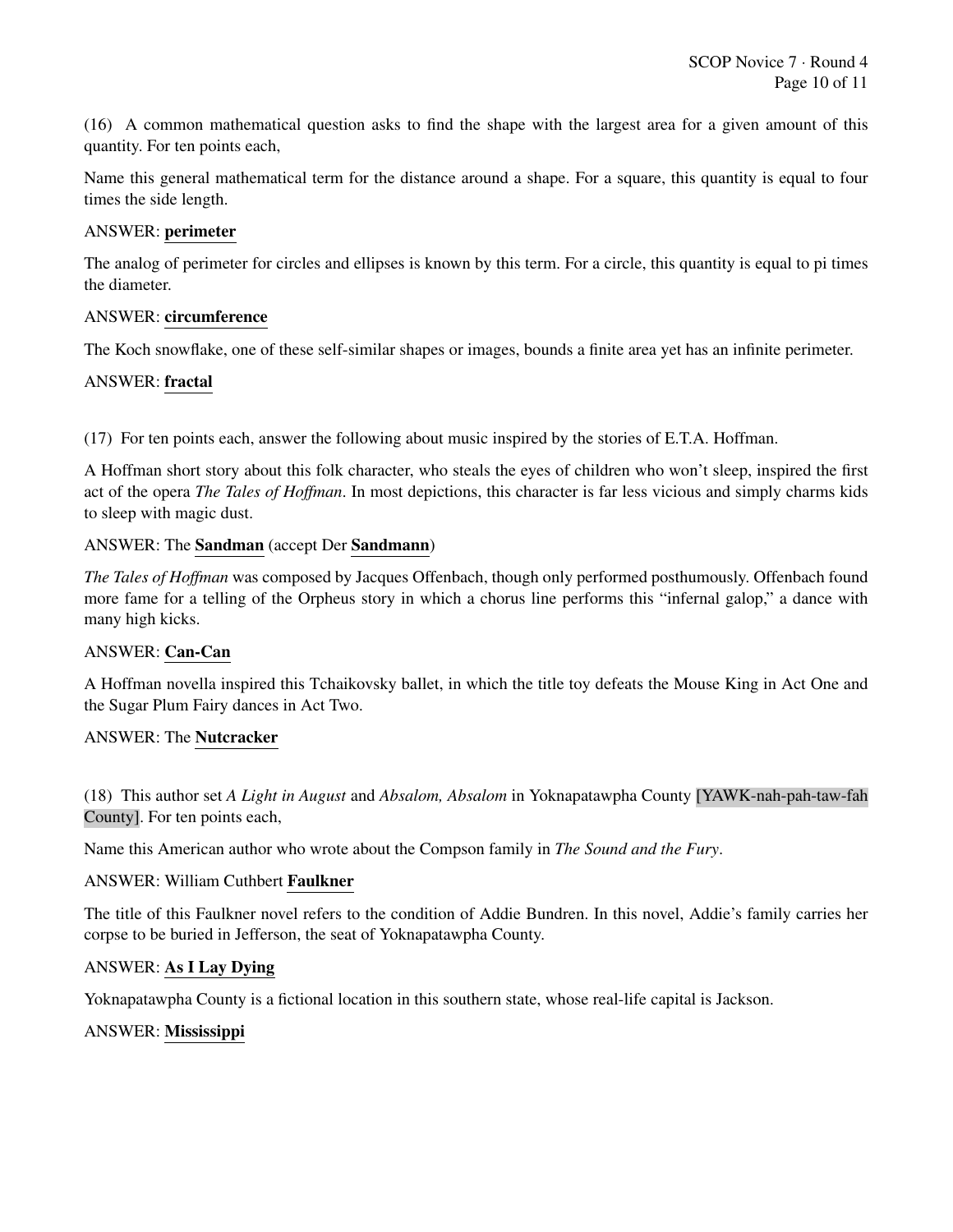(16) A common mathematical question asks to find the shape with the largest area for a given amount of this quantity. For ten points each,

Name this general mathematical term for the distance around a shape. For a square, this quantity is equal to four times the side length.

# ANSWER: perimeter

The analog of perimeter for circles and ellipses is known by this term. For a circle, this quantity is equal to pi times the diameter.

#### ANSWER: circumference

The Koch snowflake, one of these self-similar shapes or images, bounds a finite area yet has an infinite perimeter.

#### ANSWER: fractal

(17) For ten points each, answer the following about music inspired by the stories of E.T.A. Hoffman.

A Hoffman short story about this folk character, who steals the eyes of children who won't sleep, inspired the first act of the opera *The Tales of Hoffman*. In most depictions, this character is far less vicious and simply charms kids to sleep with magic dust.

#### ANSWER: The Sandman (accept Der Sandmann)

*The Tales of Hoffman* was composed by Jacques Offenbach, though only performed posthumously. Offenbach found more fame for a telling of the Orpheus story in which a chorus line performs this "infernal galop," a dance with many high kicks.

#### ANSWER: Can-Can

A Hoffman novella inspired this Tchaikovsky ballet, in which the title toy defeats the Mouse King in Act One and the Sugar Plum Fairy dances in Act Two.

#### ANSWER: The Nutcracker

(18) This author set *A Light in August* and *Absalom, Absalom* in Yoknapatawpha County [YAWK-nah-pah-taw-fah County]. For ten points each,

Name this American author who wrote about the Compson family in *The Sound and the Fury*.

#### ANSWER: William Cuthbert Faulkner

The title of this Faulkner novel refers to the condition of Addie Bundren. In this novel, Addie's family carries her corpse to be buried in Jefferson, the seat of Yoknapatawpha County.

#### ANSWER: As I Lay Dying

Yoknapatawpha County is a fictional location in this southern state, whose real-life capital is Jackson.

#### ANSWER: Mississippi